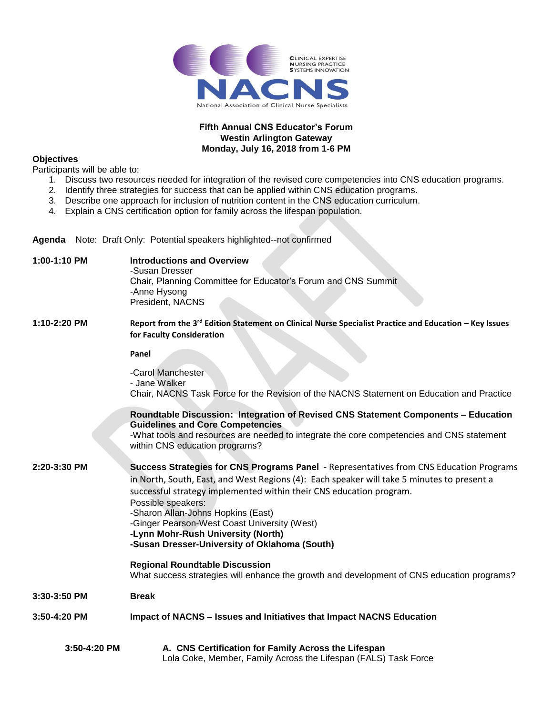

## **Fifth Annual CNS Educator's Forum Westin Arlington Gateway Monday, July 16, 2018 from 1-6 PM**

## **Objectives**

Participants will be able to:

- 1. Discuss two resources needed for integration of the revised core competencies into CNS education programs.
- 2. Identify three strategies for success that can be applied within CNS education programs.
- 3. Describe one approach for inclusion of nutrition content in the CNS education curriculum.
- 4. Explain a CNS certification option for family across the lifespan population.

**Agenda** Note:Draft Only: Potential speakers highlighted--not confirmed

| 1:00-1:10 PM | <b>Introductions and Overview</b><br>-Susan Dresser<br>Chair, Planning Committee for Educator's Forum and CNS Summit<br>-Anne Hysong<br>President, NACNS                                                                                                                                                                                                                                                              |
|--------------|-----------------------------------------------------------------------------------------------------------------------------------------------------------------------------------------------------------------------------------------------------------------------------------------------------------------------------------------------------------------------------------------------------------------------|
| 1:10-2:20 PM | Report from the 3rd Edition Statement on Clinical Nurse Specialist Practice and Education - Key Issues<br>for Faculty Consideration                                                                                                                                                                                                                                                                                   |
|              | Panel                                                                                                                                                                                                                                                                                                                                                                                                                 |
|              | -Carol Manchester<br>- Jane Walker                                                                                                                                                                                                                                                                                                                                                                                    |
|              | Chair, NACNS Task Force for the Revision of the NACNS Statement on Education and Practice                                                                                                                                                                                                                                                                                                                             |
|              | Roundtable Discussion: Integration of Revised CNS Statement Components - Education<br><b>Guidelines and Core Competencies</b>                                                                                                                                                                                                                                                                                         |
|              | -What tools and resources are needed to integrate the core competencies and CNS statement<br>within CNS education programs?                                                                                                                                                                                                                                                                                           |
| 2:20-3:30 PM | <b>Success Strategies for CNS Programs Panel</b> - Representatives from CNS Education Programs<br>in North, South, East, and West Regions (4): Each speaker will take 5 minutes to present a<br>successful strategy implemented within their CNS education program.<br>Possible speakers:<br>-Sharon Allan-Johns Hopkins (East)<br>-Ginger Pearson-West Coast University (West)<br>-Lynn Mohr-Rush University (North) |
|              | -Susan Dresser-University of Oklahoma (South)                                                                                                                                                                                                                                                                                                                                                                         |
|              | <b>Regional Roundtable Discussion</b><br>What success strategies will enhance the growth and development of CNS education programs?                                                                                                                                                                                                                                                                                   |
| 3:30-3:50 PM | <b>Break</b>                                                                                                                                                                                                                                                                                                                                                                                                          |
| 3:50-4:20 PM | Impact of NACNS - Issues and Initiatives that Impact NACNS Education                                                                                                                                                                                                                                                                                                                                                  |
| 3:50-4:20 PM | A. CNS Certification for Family Across the Lifespan<br>Lola Coke, Member, Family Across the Lifespan (FALS) Task Force                                                                                                                                                                                                                                                                                                |